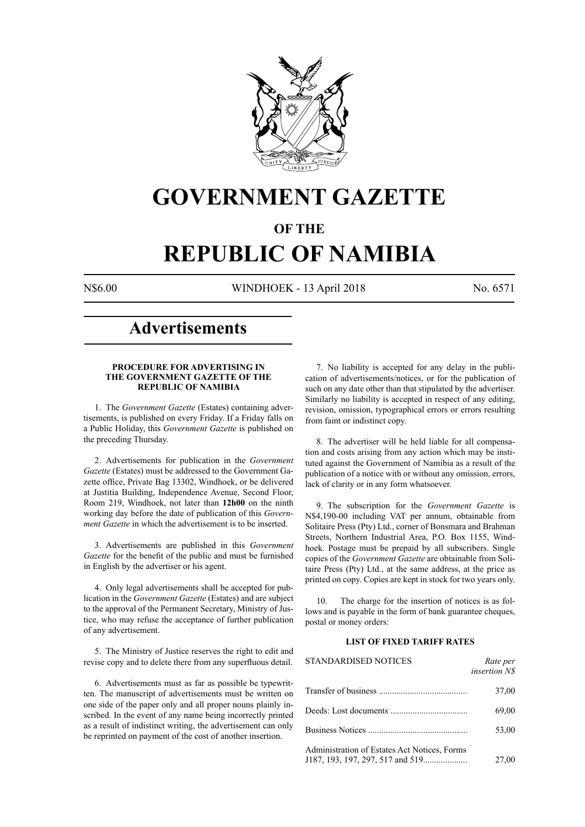

# **GOVERNMENT GAZETTE**

# **OF THE**

# **REPUBLIC OF NAMIBIA**

N\$6.00 WINDHOEK - 13 April 2018 No. 6571

# **Advertisements**

#### **PROCEDURE FOR ADVERTISING IN THE GOVERNMENT GAZETTE OF THE REPUBLIC OF NAMIBIA**

1. The *Government Gazette* (Estates) containing advertisements, is published on every Friday. If a Friday falls on a Public Holiday, this *Government Gazette* is published on the preceding Thursday.

2. Advertisements for publication in the *Government Gazette* (Estates) must be addressed to the Government Gazette office, Private Bag 13302, Windhoek, or be delivered at Justitia Building, Independence Avenue, Second Floor, Room 219, Windhoek, not later than **12h00** on the ninth working day before the date of publication of this *Government Gazette* in which the advertisement is to be inserted.

3. Advertisements are published in this *Government Gazette* for the benefit of the public and must be furnished in English by the advertiser or his agent.

4. Only legal advertisements shall be accepted for publication in the *Government Gazette* (Estates) and are subject to the approval of the Permanent Secretary, Ministry of Justice, who may refuse the acceptance of further publication of any advertisement.

5. The Ministry of Justice reserves the right to edit and revise copy and to delete there from any superfluous detail.

6. Advertisements must as far as possible be typewritten. The manuscript of advertisements must be written on one side of the paper only and all proper nouns plainly inscribed. In the event of any name being incorrectly printed as a result of indistinct writing, the advertisement can only be reprinted on payment of the cost of another insertion.

7. No liability is accepted for any delay in the publication of advertisements/notices, or for the publication of such on any date other than that stipulated by the advertiser. Similarly no liability is accepted in respect of any editing, revision, omission, typographical errors or errors resulting from faint or indistinct copy.

8. The advertiser will be held liable for all compensation and costs arising from any action which may be instituted against the Government of Namibia as a result of the publication of a notice with or without any omission, errors, lack of clarity or in any form whatsoever.

9. The subscription for the *Government Gazette* is N\$4,190-00 including VAT per annum, obtainable from Solitaire Press (Pty) Ltd., corner of Bonsmara and Brahman Streets, Northern Industrial Area, P.O. Box 1155, Windhoek. Postage must be prepaid by all subscribers. Single copies of the *Government Gazette* are obtainable from Solitaire Press (Pty) Ltd., at the same address, at the price as printed on copy. Copies are kept in stock for two years only.

10. The charge for the insertion of notices is as follows and is payable in the form of bank guarantee cheques, postal or money orders:

# **LIST OF FIXED TARIFF RATES**

| <b>STANDARDISED NOTICES</b>                  | Rate per<br><i>insertion NS</i> |
|----------------------------------------------|---------------------------------|
|                                              | 37,00                           |
|                                              | 69,00                           |
|                                              | 53,00                           |
| Administration of Estates Act Notices, Forms | 27,00                           |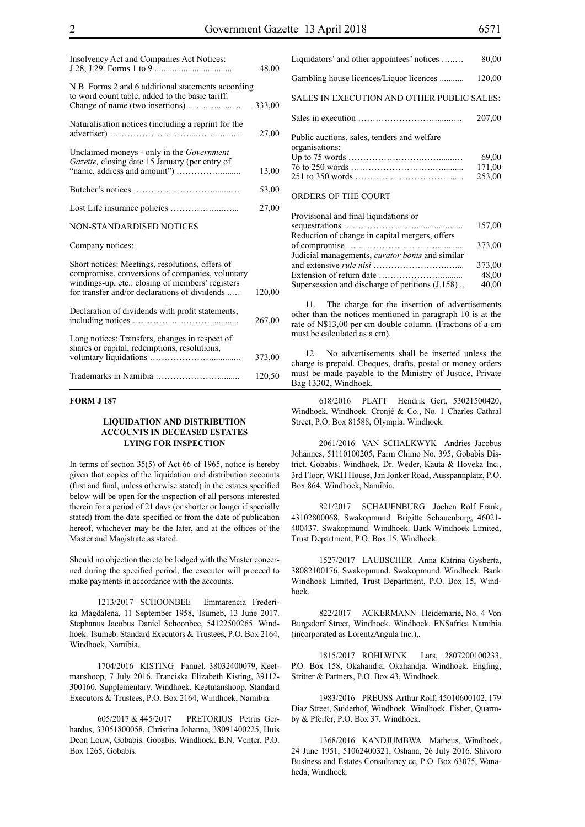| Insolvency Act and Companies Act Notices:                                                                                                                                                               | 48,00  |
|---------------------------------------------------------------------------------------------------------------------------------------------------------------------------------------------------------|--------|
| N.B. Forms 2 and 6 additional statements according<br>to word count table, added to the basic tariff.                                                                                                   | 333,00 |
| Naturalisation notices (including a reprint for the                                                                                                                                                     | 27,00  |
| Unclaimed moneys - only in the Government<br>Gazette, closing date 15 January (per entry of                                                                                                             | 13,00  |
|                                                                                                                                                                                                         | 53,00  |
|                                                                                                                                                                                                         | 27,00  |
| NON-STANDARDISED NOTICES                                                                                                                                                                                |        |
| Company notices:                                                                                                                                                                                        |        |
| Short notices: Meetings, resolutions, offers of<br>compromise, conversions of companies, voluntary<br>windings-up, etc.: closing of members' registers<br>for transfer and/or declarations of dividends | 120,00 |
| Declaration of dividends with profit statements,                                                                                                                                                        | 267,00 |
| Long notices: Transfers, changes in respect of<br>shares or capital, redemptions, resolutions,                                                                                                          | 373,00 |
|                                                                                                                                                                                                         | 120,50 |

### **FORM J 187**

#### **LIQUIDATION AND DISTRIBUTION ACCOUNTS IN DECEASED ESTATES LYING FOR INSPECTION**

In terms of section 35(5) of Act 66 of 1965, notice is hereby given that copies of the liquidation and distribution accounts (first and final, unless otherwise stated) in the estates specified below will be open for the inspection of all persons interested therein for a period of 21 days (or shorter or longer if specially stated) from the date specified or from the date of publication hereof, whichever may be the later, and at the offices of the Master and Magistrate as stated.

Should no objection thereto be lodged with the Master concerned during the specified period, the executor will proceed to make payments in accordance with the accounts.

1213/2017 SCHOONBEE Emmarencia Frederika Magdalena, 11 September 1958, Tsumeb, 13 June 2017. Stephanus Jacobus Daniel Schoonbee, 54122500265. Windhoek. Tsumeb. Standard Executors & Trustees, P.O. Box 2164, Windhoek, Namibia.

1704/2016 KISTING Fanuel, 38032400079, Keetmanshoop, 7 July 2016. Franciska Elizabeth Kisting, 39112- 300160. Supplementary. Windhoek. Keetmanshoop. Standard Executors & Trustees, P.O. Box 2164, Windhoek, Namibia.

605/2017 & 445/2017 PRETORIUS Petrus Gerhardus, 33051800058, Christina Johanna, 38091400225, Huis Deon Louw, Gobabis. Gobabis. Windhoek. B.N. Venter, P.O. Box 1265, Gobabis.

| Liquidators' and other appointees' notices                    | 80,00  |
|---------------------------------------------------------------|--------|
| Gambling house licences/Liquor licences                       | 120,00 |
| SALES IN EXECUTION AND OTHER PUBLIC SALES:                    |        |
|                                                               | 207.00 |
| Public auctions, sales, tenders and welfare<br>organisations: |        |
|                                                               | 69.00  |
|                                                               | 171,00 |
|                                                               | 253,00 |
| ORDERS OF THE COURT                                           |        |

| Provisional and final liquidations or                  |        |
|--------------------------------------------------------|--------|
|                                                        | 157,00 |
| Reduction of change in capital mergers, offers         |        |
|                                                        | 373,00 |
| Judicial managements, <i>curator bonis</i> and similar |        |
|                                                        | 373,00 |
|                                                        | 48,00  |
| Supersession and discharge of petitions (J.158)        | 40,00  |

11. The charge for the insertion of advertisements other than the notices mentioned in paragraph 10 is at the rate of N\$13,00 per cm double column. (Fractions of a cm must be calculated as a cm).

12. No advertisements shall be inserted unless the charge is prepaid. Cheques, drafts, postal or money orders must be made payable to the Ministry of Justice, Private Bag 13302, Windhoek.

618/2016 PLATT Hendrik Gert, 53021500420, Windhoek. Windhoek. Cronjé & Co., No. 1 Charles Cathral Street, P.O. Box 81588, Olympia, Windhoek.

2061/2016 VAN SCHALKWYK Andries Jacobus Johannes, 51110100205, Farm Chimo No. 395, Gobabis District. Gobabis. Windhoek. Dr. Weder, Kauta & Hoveka Inc., 3rd Floor, WKH House, Jan Jonker Road, Ausspannplatz, P.O. Box 864, Windhoek, Namibia.

821/2017 SCHAUENBURG Jochen Rolf Frank, 43102800068, Swakopmund. Brigitte Schauenburg, 46021- 400437. Swakopmund. Windhoek. Bank Windhoek Limited, Trust Department, P.O. Box 15, Windhoek.

1527/2017 LAUBSCHER Anna Katrina Gysberta, 38082100176, Swakopmund. Swakopmund. Windhoek. Bank Windhoek Limited, Trust Department, P.O. Box 15, Windhoek.

822/2017 ACKERMANN Heidemarie, No. 4 Von Burgsdorf Street, Windhoek. Windhoek. ENSafrica Namibia (incorporated as LorentzAngula Inc.),.

1815/2017 ROHLWINK Lars, 2807200100233, P.O. Box 158, Okahandja. Okahandja. Windhoek. Engling, Stritter & Partners, P.O. Box 43, Windhoek.

1983/2016 PREUSS Arthur Rolf, 45010600102, 179 Diaz Street, Suiderhof, Windhoek. Windhoek. Fisher, Quarmby & Pfeifer, P.O. Box 37, Windhoek.

1368/2016 KANDJUMBWA Matheus, Windhoek, 24 June 1951, 51062400321, Oshana, 26 July 2016. Shivoro Business and Estates Consultancy cc, P.O. Box 63075, Wanaheda, Windhoek.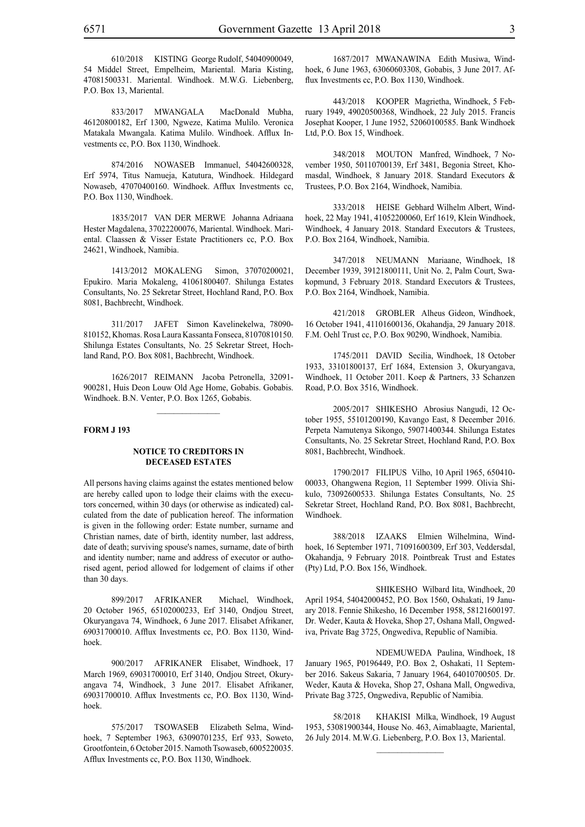833/2017 MWANGALA MacDonald Mubha, 46120800182, Erf 1300, Ngweze, Katima Mulilo. Veronica Matakala Mwangala. Katima Mulilo. Windhoek. Afflux Investments cc, P.O. Box 1130, Windhoek.

874/2016 NOWASEB Immanuel, 54042600328, Erf 5974, Titus Namueja, Katutura, Windhoek. Hildegard Nowaseb, 47070400160. Windhoek. Afflux Investments cc, P.O. Box 1130, Windhoek.

1835/2017 VAN DER MERWE Johanna Adriaana Hester Magdalena, 37022200076, Mariental. Windhoek. Mariental. Claassen & Visser Estate Practitioners cc, P.O. Box 24621, Windhoek, Namibia.

1413/2012 MOKALENG Simon, 37070200021, Epukiro. Maria Mokaleng, 41061800407. Shilunga Estates Consultants, No. 25 Sekretar Street, Hochland Rand, P.O. Box 8081, Bachbrecht, Windhoek.

311/2017 JAFET Simon Kavelinekelwa, 78090- 810152, Khomas. Rosa Laura Kassanta Fonseca, 81070810150. Shilunga Estates Consultants, No. 25 Sekretar Street, Hochland Rand, P.O. Box 8081, Bachbrecht, Windhoek.

1626/2017 REIMANN Jacoba Petronella, 32091- 900281, Huis Deon Louw Old Age Home, Gobabis. Gobabis. Windhoek. B.N. Venter, P.O. Box 1265, Gobabis.

 $\frac{1}{2}$ 

#### **FORM J 193**

#### **NOTICE TO CREDITORS IN DECEASED ESTATES**

All persons having claims against the estates mentioned below are hereby called upon to lodge their claims with the executors concerned, within 30 days (or otherwise as indicated) calculated from the date of publication hereof. The information is given in the following order: Estate number, surname and Christian names, date of birth, identity number, last address, date of death; surviving spouse's names, surname, date of birth and identity number; name and address of executor or authorised agent, period allowed for lodgement of claims if other than 30 days.

899/2017 AFRIKANER Michael, Windhoek, 20 October 1965, 65102000233, Erf 3140, Ondjou Street, Okuryangava 74, Windhoek, 6 June 2017. Elisabet Afrikaner, 69031700010. Afflux Investments cc, P.O. Box 1130, Windhoek.

900/2017 AFRIKANER Elisabet, Windhoek, 17 March 1969, 69031700010, Erf 3140, Ondjou Street, Okuryangava 74, Windhoek, 3 June 2017. Elisabet Afrikaner, 69031700010. Afflux Investments cc, P.O. Box 1130, Windhoek.

575/2017 TSOWASEB Elizabeth Selma, Windhoek, 7 September 1963, 63090701235, Erf 933, Soweto, Grootfontein, 6 October 2015. Namoth Tsowaseb, 6005220035. Afflux Investments cc, P.O. Box 1130, Windhoek.

1687/2017 MWANAWINA Edith Musiwa, Windhoek, 6 June 1963, 63060603308, Gobabis, 3 June 2017. Afflux Investments cc, P.O. Box 1130, Windhoek.

443/2018 KOOPER Magrietha, Windhoek, 5 February 1949, 49020500368, Windhoek, 22 July 2015. Francis Josephat Kooper, 1 June 1952, 52060100585. Bank Windhoek Ltd, P.O. Box 15, Windhoek.

348/2018 MOUTON Manfred, Windhoek, 7 November 1950, 50110700139, Erf 3481, Begonia Street, Khomasdal, Windhoek, 8 January 2018. Standard Executors & Trustees, P.O. Box 2164, Windhoek, Namibia.

333/2018 HEISE Gebhard Wilhelm Albert, Windhoek, 22 May 1941, 41052200060, Erf 1619, Klein Windhoek, Windhoek, 4 January 2018. Standard Executors & Trustees, P.O. Box 2164, Windhoek, Namibia.

347/2018 NEUMANN Mariaane, Windhoek, 18 December 1939, 39121800111, Unit No. 2, Palm Court, Swakopmund, 3 February 2018. Standard Executors & Trustees, P.O. Box 2164, Windhoek, Namibia.

421/2018 GROBLER Alheus Gideon, Windhoek, 16 October 1941, 41101600136, Okahandja, 29 January 2018. F.M. Oehl Trust cc, P.O. Box 90290, Windhoek, Namibia.

1745/2011 DAVID Secilia, Windhoek, 18 October 1933, 33101800137, Erf 1684, Extension 3, Okuryangava, Windhoek, 11 October 2011. Koep & Partners, 33 Schanzen Road, P.O. Box 3516, Windhoek.

2005/2017 SHIKESHO Abrosius Nangudi, 12 October 1955, 55101200190, Kavango East, 8 December 2016. Perpeta Namutenya Sikongo, 59071400344. Shilunga Estates Consultants, No. 25 Sekretar Street, Hochland Rand, P.O. Box 8081, Bachbrecht, Windhoek.

1790/2017 FILIPUS Vilho, 10 April 1965, 650410- 00033, Ohangwena Region, 11 September 1999. Olivia Shikulo, 73092600533. Shilunga Estates Consultants, No. 25 Sekretar Street, Hochland Rand, P.O. Box 8081, Bachbrecht, Windhoek.

388/2018 IZAAKS Elmien Wilhelmina, Windhoek, 16 September 1971, 71091600309, Erf 303, Veddersdal, Okahandja, 9 February 2018. Pointbreak Trust and Estates (Pty) Ltd, P.O. Box 156, Windhoek.

SHIKESHO Wilbard Iita, Windhoek, 20 April 1954, 54042000452, P.O. Box 1560, Oshakati, 19 January 2018. Fennie Shikesho, 16 December 1958, 58121600197. Dr. Weder, Kauta & Hoveka, Shop 27, Oshana Mall, Ongwediva, Private Bag 3725, Ongwediva, Republic of Namibia.

NDEMUWEDA Paulina, Windhoek, 18 January 1965, P0196449, P.O. Box 2, Oshakati, 11 September 2016. Sakeus Sakaria, 7 January 1964, 64010700505. Dr. Weder, Kauta & Hoveka, Shop 27, Oshana Mall, Ongwediva, Private Bag 3725, Ongwediva, Republic of Namibia.

58/2018 KHAKISI Milka, Windhoek, 19 August 1953, 53081900344, House No. 463, Aimablaagte, Mariental, 26 July 2014. M.W.G. Liebenberg, P.O. Box 13, Mariental.

 $\frac{1}{2}$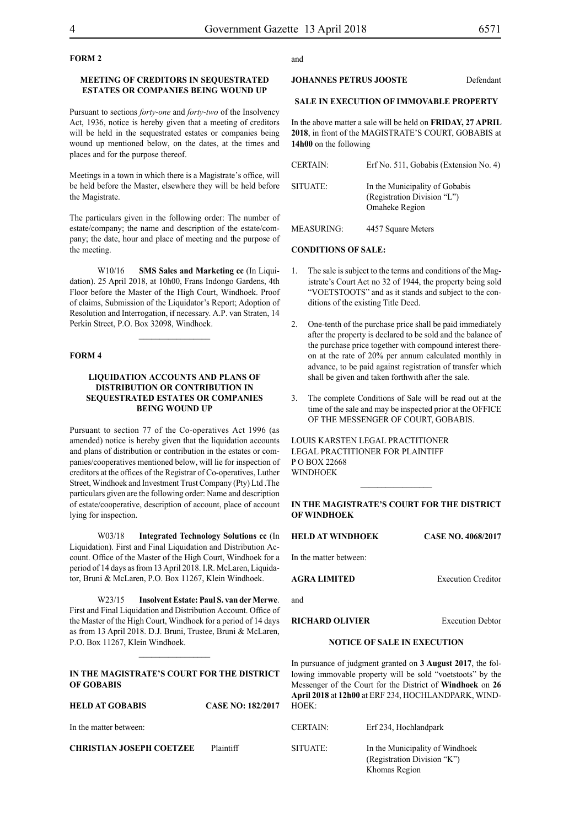# **FORM 2**

# **MEETING OF CREDITORS IN SEQUESTRATED ESTATES OR COMPANIES BEING WOUND UP**

Pursuant to sections *forty-one* and *forty-two* of the Insolvency Act, 1936, notice is hereby given that a meeting of creditors will be held in the sequestrated estates or companies being wound up mentioned below, on the dates, at the times and places and for the purpose thereof.

Meetings in a town in which there is a Magistrate's office, will be held before the Master, elsewhere they will be held before the Magistrate.

The particulars given in the following order: The number of estate/company; the name and description of the estate/company; the date, hour and place of meeting and the purpose of the meeting.

W10/16 **SMS Sales and Marketing cc** (In Liquidation). 25 April 2018, at 10h00, Frans Indongo Gardens, 4th Floor before the Master of the High Court, Windhoek. Proof of claims, Submission of the Liquidator's Report; Adoption of Resolution and Interrogation, if necessary. A.P. van Straten, 14 Perkin Street, P.O. Box 32098, Windhoek.

 $\frac{1}{2}$ 

#### **FORM 4**

## **LIQUIDATION ACCOUNTS AND PLANS OF DISTRIBUTION OR CONTRIBUTION IN SEQUESTRATED ESTATES OR COMPANIES BEING WOUND UP**

Pursuant to section 77 of the Co-operatives Act 1996 (as amended) notice is hereby given that the liquidation accounts and plans of distribution or contribution in the estates or companies/cooperatives mentioned below, will lie for inspection of creditors at the offices of the Registrar of Co-operatives, Luther Street, Windhoek and Investment Trust Company (Pty) Ltd .The particulars given are the following order: Name and description of estate/cooperative, description of account, place of account lying for inspection.

W03/18 **Integrated Technology Solutions cc** (In Liquidation). First and Final Liquidation and Distribution Account. Office of the Master of the High Court, Windhoek for a period of 14 days as from 13 April 2018. I.R. McLaren, Liquidator, Bruni & McLaren, P.O. Box 11267, Klein Windhoek.

W23/15 **Insolvent Estate: Paul S. van der Merwe**. First and Final Liquidation and Distribution Account. Office of the Master of the High Court, Windhoek for a period of 14 days as from 13 April 2018. D.J. Bruni, Trustee, Bruni & McLaren, P.O. Box 11267, Klein Windhoek.

# **IN THE MAGISTRATE'S COURT FOR THE DISTRICT OF GOBABIS**

 $\frac{1}{2}$ 

# **HELD AT GOBABIS CASE NO: 182/2017** In the matter between: **CHRISTIAN JOSEPH COETZEE** Plaintiff

and

### **JOHANNES PETRUS JOOSTE** Defendant

# **SALE IN EXECUTION OF IMMOVABLE PROPERTY**

In the above matter a sale will be held on **FRIDAY, 27 APRIL 2018**, in front of the MAGISTRATE'S COURT, GOBABIS at **14h00** on the following

| <b>CERTAIN:</b> | Erf No. 511, Gobabis (Extension No. 4)                                          |
|-----------------|---------------------------------------------------------------------------------|
| SITUATE:        | In the Municipality of Gobabis<br>(Registration Division "L")<br>Omaheke Region |
| MEASURING:      | 4457 Square Meters                                                              |

#### **CONDITIONS OF SALE:**

- 1. The sale is subject to the terms and conditions of the Magistrate's Court Act no 32 of 1944, the property being sold "VOETSTOOTS" and as it stands and subject to the conditions of the existing Title Deed.
- 2. One-tenth of the purchase price shall be paid immediately after the property is declared to be sold and the balance of the purchase price together with compound interest thereon at the rate of 20% per annum calculated monthly in advance, to be paid against registration of transfer which shall be given and taken forthwith after the sale.
- 3. The complete Conditions of Sale will be read out at the time of the sale and may be inspected prior at the OFFICE OF THE MESSENGER OF COURT, GOBABIS.

LOUIS KARSTEN LEGAL PRACTITIONER LEGAL PRACTITIONER FOR Plaintiff P O BOX 22668 WINDHOEK

#### **IN THE MAGISTRATE'S COURT FOR THE DISTRICT OF WINDHOEK**

 $\frac{1}{2}$ 

**HELD AT WINDHOEK CASE NO. 4068/2017**

In the matter between:

**AGRA LIMITED** Execution Creditor

and

**RICHARD OLIVIER** Execution Debtor

#### **NOTICE OF SALE IN EXECUTION**

In pursuance of judgment granted on **3 August 2017**, the following immovable property will be sold "voetstoots" by the Messenger of the Court for the District of **Windhoek** on **26 April 2018** at **12h00** at ERF 234, HOCHLANDPARK, WIND- $H$ OEK $\cdot$ 

| <b>CERTAIN:</b> | Erf 234, Hochlandpark                                                           |
|-----------------|---------------------------------------------------------------------------------|
| SITUATE:        | In the Municipality of Windhoek<br>(Registration Division "K")<br>Khomas Region |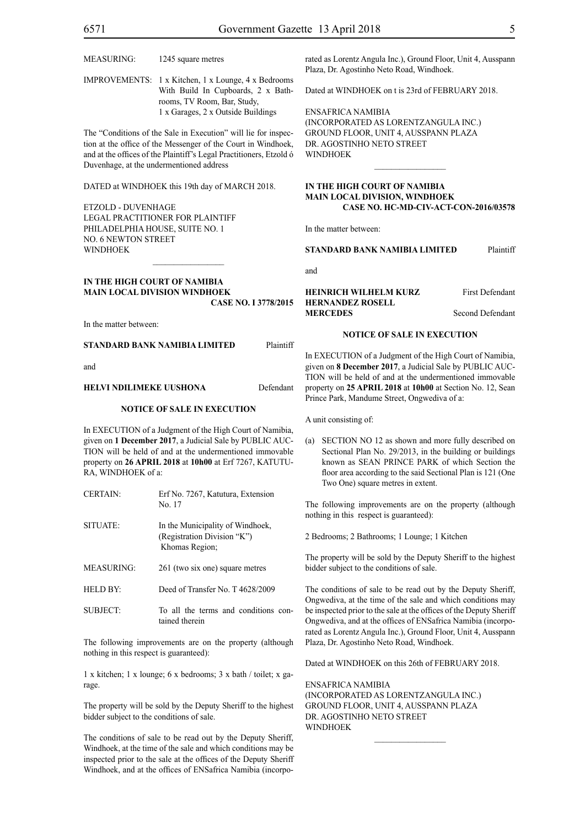IMPROVEMENTS: 1 x Kitchen, 1 x Lounge, 4 x Bedrooms With Build In Cupboards, 2 x Bathrooms, TV Room, Bar, Study, 1 x Garages, 2 x Outside Buildings

The "Conditions of the Sale in Execution" will lie for inspection at the office of the Messenger of the Court in Windhoek, and at the offices of the Plaintiff's Legal Practitioners, Etzold ó Duvenhage, at the undermentioned address

DATED at WINDHOEK this 19th day of MARCH 2018.

ETZOLD - DUVENHAGE LEGAL PRACTITIONER FOR Plaintiff PHILADELPHIA HOUSE, SUITE NO. 1 NO. 6 NEWTON STREET **WINDHOEK** 

#### **IN THE HIGH COURT OF NAMIBIA MAIN LOCAL DIVISION WINDHOEK Case NO. I 3778/2015**

In the matter between:

#### **STANDARD BANK NAMIBIA LIMITED** Plaintiff

and

#### **HELVI NDILIMEKE UUSHONA** Defendant

#### **NOTICE OF SALE IN EXECUTION**

In EXECUTION of a Judgment of the High Court of Namibia, given on **1 December 2017**, a Judicial Sale by PUBLIC AUC-TION will be held of and at the undermentioned immovable property on **26 APRIL 2018** at **10h00** at Erf 7267, KATUTU-RA, WINDHOEK of a:

| <b>CERTAIN:</b>   | Erf No. 7267, Katutura, Extension<br>No. 17                                       |
|-------------------|-----------------------------------------------------------------------------------|
| SITUATE:          | In the Municipality of Windhoek,<br>(Registration Division "K")<br>Khomas Region; |
| <b>MEASURING:</b> | 261 (two six one) square metres                                                   |
| <b>HELD BY:</b>   | Deed of Transfer No. T 4628/2009                                                  |
|                   |                                                                                   |

SUBJECT: To all the terms and conditions contained therein

The following improvements are on the property (although nothing in this respect is guaranteed):

1 x kitchen; 1 x lounge; 6 x bedrooms; 3 x bath / toilet; x garage.

The property will be sold by the Deputy Sheriff to the highest bidder subject to the conditions of sale.

The conditions of sale to be read out by the Deputy Sheriff, Windhoek, at the time of the sale and which conditions may be inspected prior to the sale at the offices of the Deputy Sheriff Windhoek, and at the offices of ENSafrica Namibia (incorporated as Lorentz Angula Inc.), Ground Floor, Unit 4, Ausspann Plaza, Dr. Agostinho Neto Road, Windhoek.

Dated at WINDHOEK on t is 23rd of FEBRUARY 2018.

ENSafrica Namibia (incorporated as LorentzAngula Inc.) Ground Floor, Unit 4, Ausspann Plaza Dr. Agostinho Neto Street WINDHOEK

#### **IN THE HIGH COURT OF NAMIBIA MAIN LOCAL DIVISION, WINDHOEK Case NO. HC-MD-CIV-ACT-CON-2016/03578**

 $\frac{1}{2}$ 

In the matter between:

#### **STANDARD BANK NAMIBIA LIMITED** Plaintiff

and

# **HEINRICH WILHELM KURZ** First Defendant **HERNANDEZ ROSELL MERCEDES** Second Defendant

# **NOTICE OF SALE IN EXECUTION**

In EXECUTION of a Judgment of the High Court of Namibia, given on **8 December 2017**, a Judicial Sale by PUBLIC AUC-TION will be held of and at the undermentioned immovable property on **25 APRIL 2018** at **10h00** at Section No. 12, Sean Prince Park, Mandume Street, Ongwediva of a:

A unit consisting of:

(a) SECTION NO 12 as shown and more fully described on Sectional Plan No. 29/2013, in the building or buildings known as SEAN PRINCE PARK of which Section the floor area according to the said Sectional Plan is 121 (One Two One) square metres in extent.

The following improvements are on the property (although nothing in this respect is guaranteed):

2 Bedrooms; 2 Bathrooms; 1 Lounge; 1 Kitchen

The property will be sold by the Deputy Sheriff to the highest bidder subject to the conditions of sale.

The conditions of sale to be read out by the Deputy Sheriff, Ongwediva, at the time of the sale and which conditions may be inspected prior to the sale at the offices of the Deputy Sheriff Ongwediva, and at the offices of ENSafrica Namibia (incorporated as Lorentz Angula Inc.), Ground Floor, Unit 4, Ausspann Plaza, Dr. Agostinho Neto Road, Windhoek.

Dated at WINDHOEK on this 26th of FEBRUARY 2018.

 $\frac{1}{2}$ 

ENSafrica Namibia (incorporated as LorentzAngula Inc.) Ground Floor, Unit 4, Ausspann Plaza Dr. Agostinho Neto Street WINDHOEK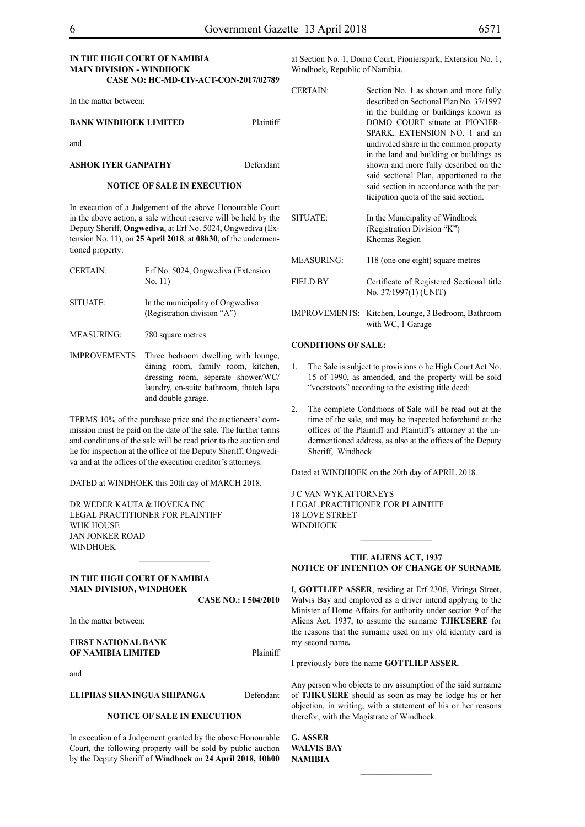## **IN THE HIGH COURT OF NAMIBIA MAIN DIVISION - WINDHOEK CASE NO: HC-MD-CIV-ACT-CON-2017/02789**

In the matter between:

#### **BANK WINDHOEK LIMITED** Plaintiff

and

## **ASHOK IYER GANPATHY** Defendant

#### **NOTICE OF SALE IN EXECUTION**

In execution of a Judgement of the above Honourable Court in the above action, a sale without reserve will be held by the Deputy Sheriff, **Ongwediva**, at Erf No. 5024, Ongwediva (Extension No. 11), on **25 April 2018**, at **08h30**, of the undermentioned property:

| <b>CERTAIN:</b> | Erf No. 5024, Ongwediya (Extension<br>No. 11)                   |
|-----------------|-----------------------------------------------------------------|
| SITUATE:        | In the municipality of Ongwediva<br>(Registration division "A") |

MEASURING: 780 square metres

IMPROVEMENTS: Three bedroom dwelling with lounge, dining room, family room, kitchen, dressing room, seperate shower/WC/ laundry, en-suite bathroom, thatch lapa and double garage.

TERMS 10% of the purchase price and the auctioneers' commission must be paid on the date of the sale. The further terms and conditions of the sale will be read prior to the auction and lie for inspection at the office of the Deputy Sheriff, Ongwediva and at the offices of the execution creditor's attorneys.

DATED at WINDHOEK this 20th day of MARCH 2018.

 $\frac{1}{2}$ 

DR WEDER KAUTA & HOVEKA INC Legal Practitioner for Plaintiff WHK HOUSE Jan Jonker Road **WINDHOEK** 

## **IN THE HIGH COURT OF NAMIBIA MAIN DIVISION, WINDHOEK**

**CASE NO.: I 504/2010**

In the matter between:

#### **FIRST NATIONAL BANK OF NAMIBIA LIMITED** Plaintiff

and

**ELIPHAS SHANINGUA SHIPANGA** Defendant

# **NOTICE OF SALE IN EXECUTION**

In execution of a Judgement granted by the above Honourable Court, the following property will be sold by public auction by the Deputy Sheriff of **Windhoek** on **24 April 2018, 10h00**  at Section No. 1, Domo Court, Pionierspark, Extension No. 1, Windhoek, Republic of Namibia.

CERTAIN: Section No. 1 as shown and more fully described on Sectional Plan No. 37/1997 in the building or buildings known as DOMO COURT situate at PIONIER-SPARK, EXTENSION NO. 1 and an undivided share in the common property in the land and building or buildings as shown and more fully described on the said sectional Plan, apportioned to the said section in accordance with the participation quota of the said section.

| SITUATE:        | In the Municipality of Windhoek<br>(Registration Division "K")<br>Khomas Region |
|-----------------|---------------------------------------------------------------------------------|
| MEASURING:      | 118 (one one eight) square metres                                               |
| <b>FIELD BY</b> | Certificate of Registered Sectional title<br>No. 37/1997(1) (UNIT)              |
| IMDD OVEMENTS.  | Kitchen Lounge 3 Bedroom Bathroom                                               |

IMPROVEMENTS: Kitchen, Lounge, 3 Bedroom, Bathroom with WC, 1 Garage

#### **CONDITIONS OF SALE:**

- 1. The Sale is subject to provisions o he High Court Act No. 15 of 1990, as amended, and the property will be sold "voetstoots" according to the existing title deed:
- 2. The complete Conditions of Sale will be read out at the time of the sale, and may be inspected beforehand at the offices of the Plaintiff and PIaintiff's attorney at the undermentioned address, as also at the offices of the Deputy Sheriff, Windhoek.

Dated at WINDHOEK on the 20th day of APRIL 2018.

J C VAN WYK ATTORNEYS Legal Practitioner for Plaintiff 18 LOVE STREET WINDHOEK

## **THE ALIENS ACT, 1937 NOTICE OF INTENTION OF CHANGE OF SURNAME**

 $\frac{1}{2}$ 

I, **GOTTLIEP ASSER**, residing at Erf 2306, Viringa Street, Walvis Bay and employed as a driver intend applying to the Minister of Home Affairs for authority under section 9 of the Aliens Act, 1937, to assume the surname **TJIKUSERE** for the reasons that the surname used on my old identity card is my second name**.**

I previously bore the name **GOTTLIEP ASSER.** 

Any person who objects to my assumption of the said surname of **tjikusere** should as soon as may be lodge his or her objection, in writing, with a statement of his or her reasons therefor, with the Magistrate of Windhoek.

 $\frac{1}{2}$ 

**G. ASSER walvis bay NAMIBIA**